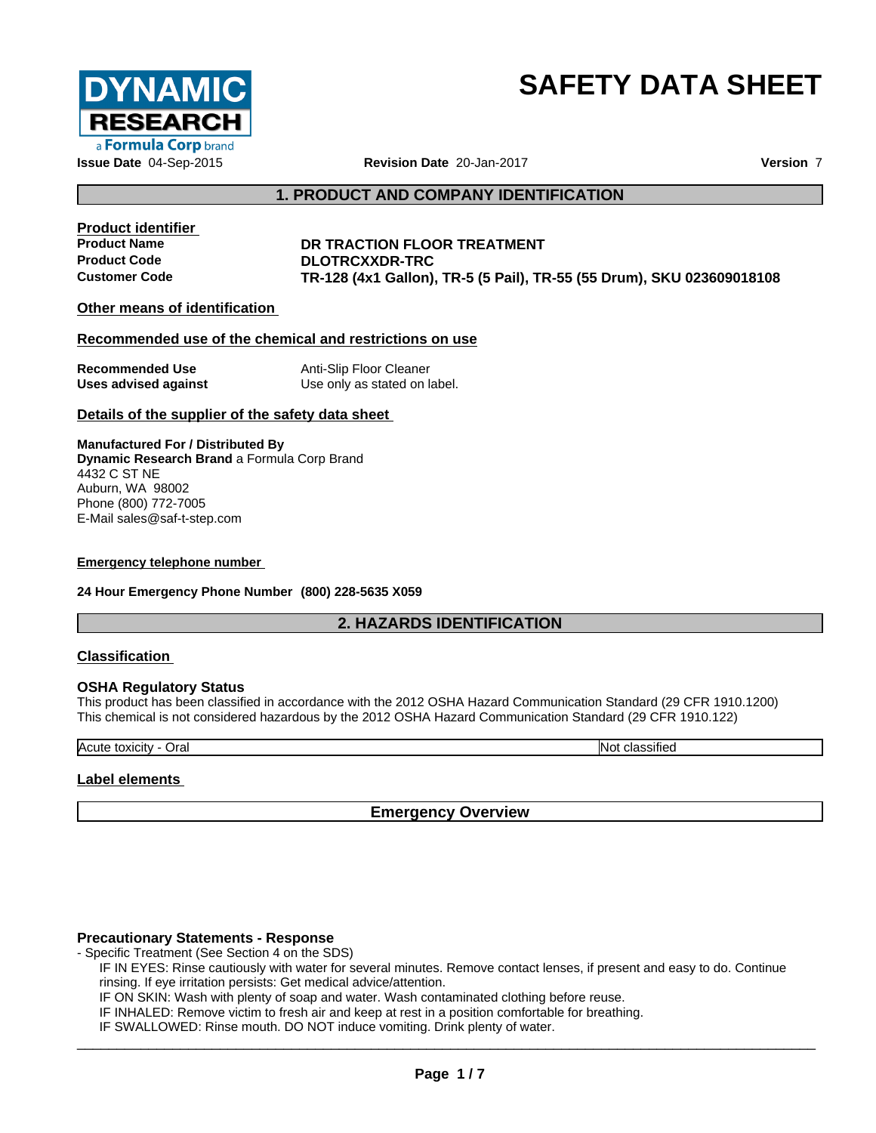

# **SAFETY DATA SHEET**

**Issue Date** 04-Sep-2015 **Revision Date** 20-Jan-2017 **Version** 7

# **1. PRODUCT AND COMPANY IDENTIFICATION**

**Product identifier**

# **DR TRACTION FLOOR TREATMENT Product Code DLOTRCXXDR-TRC Customer Code TR-128 (4x1 Gallon), TR-5 (5 Pail), TR-55 (55 Drum), SKU 023609018108**

# **Other means of identification**

# **Recommended use of the chemical and restrictions on use**

| <b>Recommended Use</b> | Anti-Slip Floor Cleaner      |
|------------------------|------------------------------|
| Uses advised against   | Use only as stated on label. |

# **Details of the supplier of the safety data sheet**

**Manufactured For / Distributed By Dynamic Research Brand** a Formula Corp Brand 4432 C ST NE Auburn, WA 98002 Phone (800) 772-7005 E-Mail sales@saf-t-step.com

#### **Emergency telephone number**

**24 Hour Emergency Phone Number (800) 228-5635 X059**

# **2. HAZARDS IDENTIFICATION**

# **Classification**

# **OSHA Regulatory Status**

This product has been classified in accordance with the 2012 OSHA Hazard Communication Standard (29 CFR 1910.1200) This chemical is not considered hazardous by the 2012 OSHA Hazard Communication Standard (29 CFR 1910.122)

Acute toxicity - Oral Note to a set of the contract of the contract of the contract of the contract of the contract of the contract of the contract of the contract of the contract of the contract of the contract of the con

# **Label elements**

# **Emergency Overview**

# **Precautionary Statements - Response**

- Specific Treatment (See Section 4 on the SDS)

IF IN EYES: Rinse cautiously with water for several minutes. Remove contact lenses, if present and easy to do. Continue rinsing. If eye irritation persists: Get medical advice/attention.

IF ON SKIN: Wash with plenty of soap and water. Wash contaminated clothing before reuse.

IF INHALED: Remove victim to fresh air and keep atrest in a position comfortable for breathing.

IF SWALLOWED: Rinse mouth. DO NOT induce vomiting. Drink plenty of water.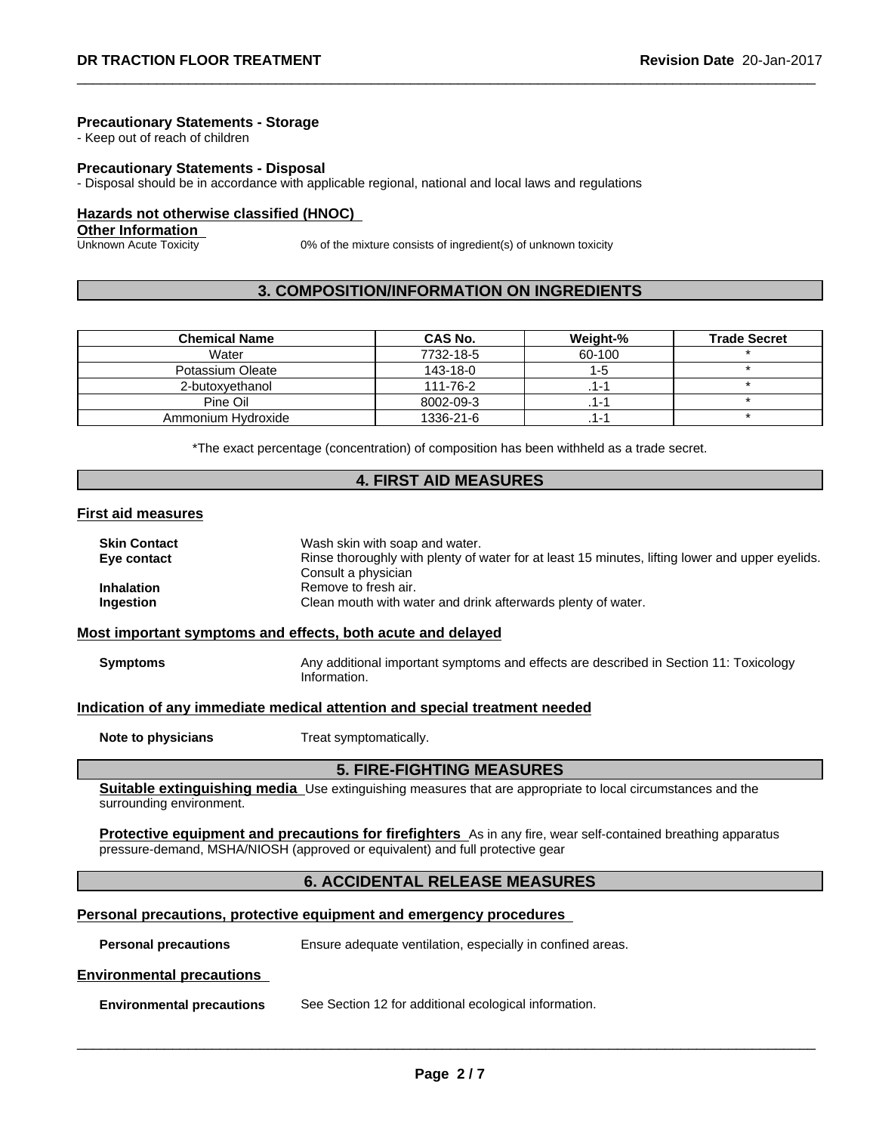#### **Precautionary Statements - Storage**

- Keep out of reach of children

#### **Precautionary Statements - Disposal**

- Disposal should be in accordance with applicable regional, national and local laws and regulations

#### **Hazards not otherwise classified (HNOC)**

**Other Information**

Unknown Acute Toxicity 0% of the mixture consists of ingredient(s) of unknown toxicity

# **3. COMPOSITION/INFORMATION ON INGREDIENTS**

| <b>Chemical Name</b> | CAS No.   | Weight-% | <b>Trade Secret</b> |
|----------------------|-----------|----------|---------------------|
| Water                | 7732-18-5 | 60-100   |                     |
| Potassium Oleate     | 143-18-0  | ה-ו      |                     |
| 2-butoxyethanol      | 111-76-2  | ı – 1    |                     |
| Pine Oil             | 8002-09-3 | ı — 1    |                     |
| Ammonium Hydroxide   | 1336-21-6 | 1-1      |                     |

\*The exact percentage (concentration) of composition has been withheld as a trade secret.

# **4. FIRST AID MEASURES**

#### **First aid measures**

| <b>Skin Contact</b>            | Wash skin with soap and water.                                                                              |
|--------------------------------|-------------------------------------------------------------------------------------------------------------|
| Eye contact                    | Rinse thoroughly with plenty of water for at least 15 minutes, lifting lower and upper eyelids.             |
| <b>Inhalation</b><br>Ingestion | Consult a physician<br>Remove to fresh air.<br>Clean mouth with water and drink afterwards plenty of water. |

# **Most important symptoms and effects, both acute and delayed**

| <b>Symptoms</b> | Any additional important symptoms and effects are described in Section 11: Toxicology |
|-----------------|---------------------------------------------------------------------------------------|
|                 | Information.                                                                          |

#### **Indication of any immediate medical attention and special treatment needed**

**Note to physicians** Treat symptomatically.

# **5. FIRE-FIGHTING MEASURES**

**Suitable extinguishing media** Use extinguishing measures that are appropriate to local circumstances and the surrounding environment.

**Protective equipment and precautions for firefighters** As in any fire, wear self-contained breathing apparatus pressure-demand, MSHA/NIOSH (approved or equivalent) and full protective gear

# **6. ACCIDENTAL RELEASE MEASURES**

# **Personal precautions, protective equipment and emergency procedures**

**Personal precautions** Ensure adequate ventilation, especially in confined areas.

# **Environmental precautions**

**Environmental precautions** See Section 12 for additional ecological information.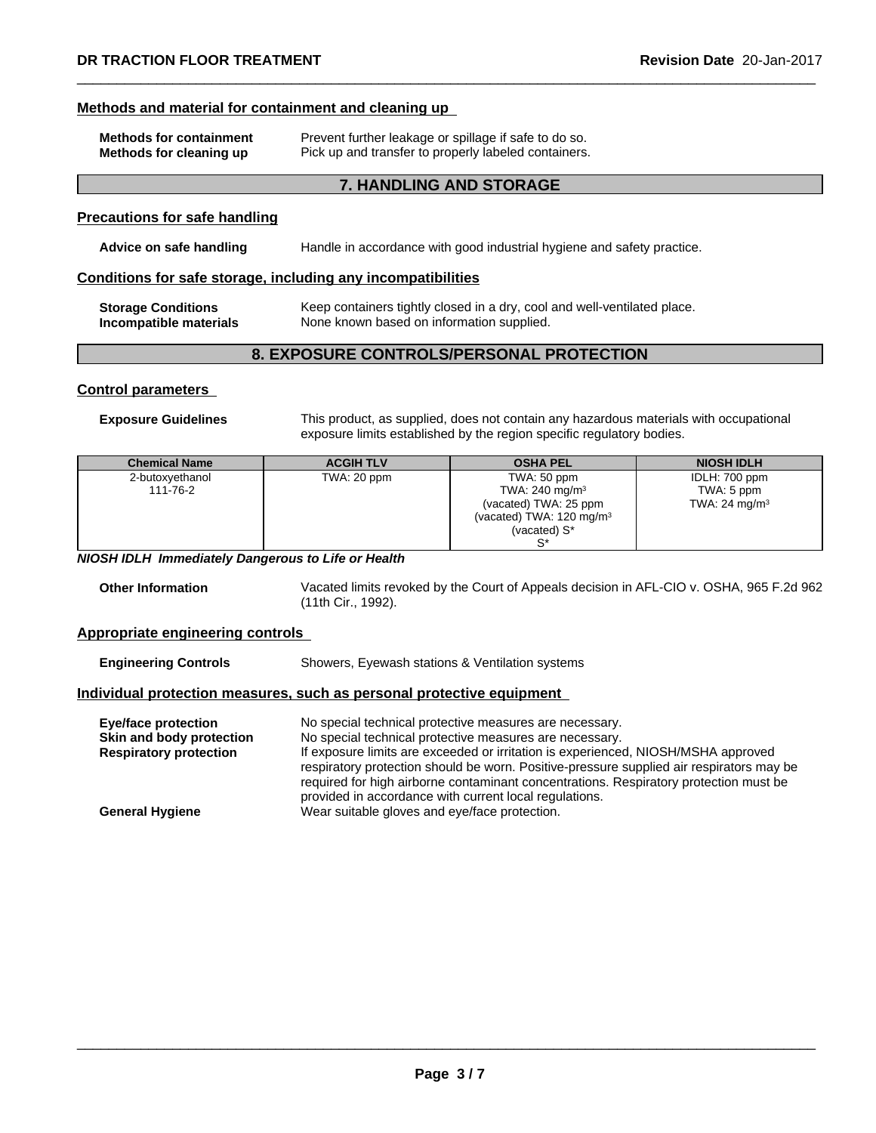### **Methods and material for containment and cleaning up**

| <b>Methods for containment</b> | Prevent further leakage or spillage if safe to do so. |
|--------------------------------|-------------------------------------------------------|
| Methods for cleaning up        | Pick up and transfer to properly labeled containers.  |

# **7. HANDLING AND STORAGE**

# **Precautions for safe handling**

# **Advice on safe handling** Handle in accordance with good industrial hygiene and safety practice.

# **Conditions for safe storage, including any incompatibilities**

| <b>Storage Conditions</b> | Keep containers tightly closed in a dry, cool and well-ventilated place. |
|---------------------------|--------------------------------------------------------------------------|
| Incompatible materials    | None known based on information supplied.                                |

# **8. EXPOSURE CONTROLS/PERSONAL PROTECTION**

#### **Control parameters**

**Exposure Guidelines** This product, as supplied, does not contain any hazardous materials with occupational exposure limits established by the region specific regulatory bodies.

| <b>Chemical Name</b> | <b>ACGIHTLV</b> | <b>OSHA PEL</b>                     | <b>NIOSH IDLH</b>        |
|----------------------|-----------------|-------------------------------------|--------------------------|
| 2-butoxyethanol      | TWA: 20 ppm     | TWA: 50 ppm                         | IDLH: 700 ppm            |
| 111-76-2             |                 | TWA: 240 mg/m $3$                   | TWA: 5 ppm               |
|                      |                 | (vacated) TWA: 25 ppm               | TWA: $24 \text{ mg/m}^3$ |
|                      |                 | (vacated) TWA: $120 \text{ mg/m}^3$ |                          |
|                      |                 | (vacated) $S^*$                     |                          |
|                      |                 |                                     |                          |

*NIOSH IDLH Immediately Dangerous to Life or Health*

**Other Information** Vacated limits revoked by the Court of Appeals decision in AFL-CIO v.OSHA, 965 F.2d 962 (11th Cir., 1992).

#### **Appropriate engineering controls**

**Engineering Controls** Showers, Eyewash stations & Ventilation systems

# **Individual protection measures, such as personal protective equipment**

| Eye/face protection           | No special technical protective measures are necessary.                                  |
|-------------------------------|------------------------------------------------------------------------------------------|
| Skin and body protection      | No special technical protective measures are necessary.                                  |
| <b>Respiratory protection</b> | If exposure limits are exceeded or irritation is experienced, NIOSH/MSHA approved        |
|                               | respiratory protection should be worn. Positive-pressure supplied air respirators may be |
|                               | required for high airborne contaminant concentrations. Respiratory protection must be    |
|                               | provided in accordance with current local regulations.                                   |
| <b>General Hygiene</b>        | Wear suitable gloves and eye/face protection.                                            |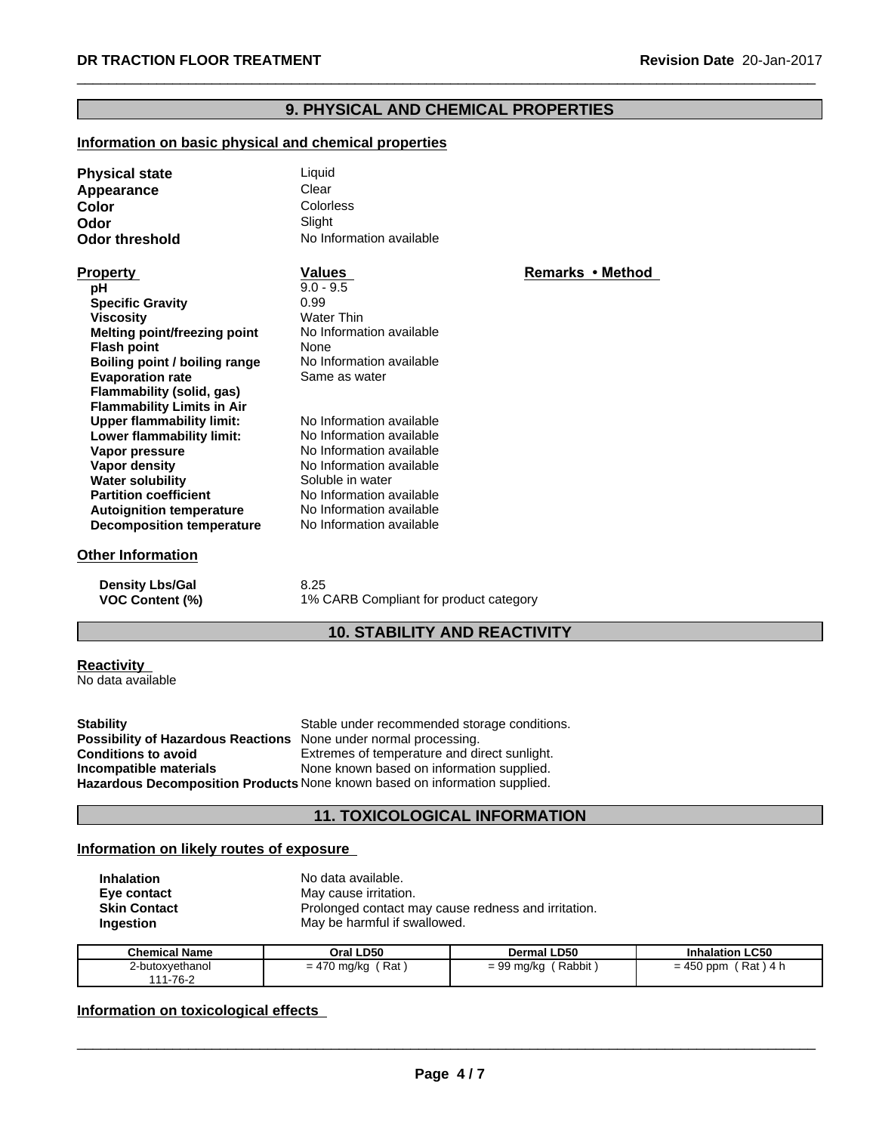# **9. PHYSICAL AND CHEMICAL PROPERTIES**

# **Information on basic physical and chemical properties**

| <b>Physical state</b>               | Liquid                   |                  |  |
|-------------------------------------|--------------------------|------------------|--|
| Appearance                          | Clear                    |                  |  |
| Color                               | Colorless                |                  |  |
| Odor                                | Slight                   |                  |  |
| <b>Odor threshold</b>               | No Information available |                  |  |
| <b>Property</b>                     | <b>Values</b>            | Remarks • Method |  |
| рH                                  | $9.0 - 9.5$              |                  |  |
| <b>Specific Gravity</b>             | 0.99                     |                  |  |
| <b>Viscosity</b>                    | <b>Water Thin</b>        |                  |  |
| <b>Melting point/freezing point</b> | No Information available |                  |  |
| <b>Flash point</b>                  | None                     |                  |  |
| Boiling point / boiling range       | No Information available |                  |  |
| <b>Evaporation rate</b>             | Same as water            |                  |  |
| Flammability (solid, gas)           |                          |                  |  |
| <b>Flammability Limits in Air</b>   |                          |                  |  |
| <b>Upper flammability limit:</b>    | No Information available |                  |  |
| Lower flammability limit:           | No Information available |                  |  |
| Vapor pressure                      | No Information available |                  |  |
| Vapor density                       | No Information available |                  |  |
| <b>Water solubility</b>             | Soluble in water         |                  |  |
| <b>Partition coefficient</b>        | No Information available |                  |  |
| <b>Autoignition temperature</b>     | No Information available |                  |  |
| <b>Decomposition temperature</b>    | No Information available |                  |  |
| <b>Other Information</b>            |                          |                  |  |

**Density Lbs/Gal** 8.25<br> **VOC Content (%)** 1% 0

1% CARB Compliant for product category

# **10. STABILITY AND REACTIVITY**

# **Reactivity**

No data available

**Stability** Stable under recommended storage conditions. **Possibility of Hazardous Reactions** None under normal processing.<br>**Conditions to avoid** Extremes of temperature and di **Conditions to avoid**<br> **Extremes of temperature and direct sunlight.**<br> **Incompatible materials**<br>
None known based on information supplied. None known based on information supplied. **Hazardous Decomposition Products** None known based on information supplied.

# **11. TOXICOLOGICAL INFORMATION**

# **Information on likely routes of exposure**

| <b>Inhalation</b>   | No data available.                                  |
|---------------------|-----------------------------------------------------|
| Eve contact         | May cause irritation.                               |
| <b>Skin Contact</b> | Prolonged contact may cause redness and irritation. |
| <b>Ingestion</b>    | May be harmful if swallowed.                        |

| <b>Chemical Name</b>        | Oral LD50                  | <b>Dermal LD50</b>   | <b>Inhalation LC50</b>    |
|-----------------------------|----------------------------|----------------------|---------------------------|
| 2-butoxyethanol<br>111-76-2 | Rat<br>470 ma/ka<br>$= 47$ | Rabbit<br>= 99 mg/kg | $= 450$ ppm<br>Rat<br>4 L |

# **Information on toxicological effects**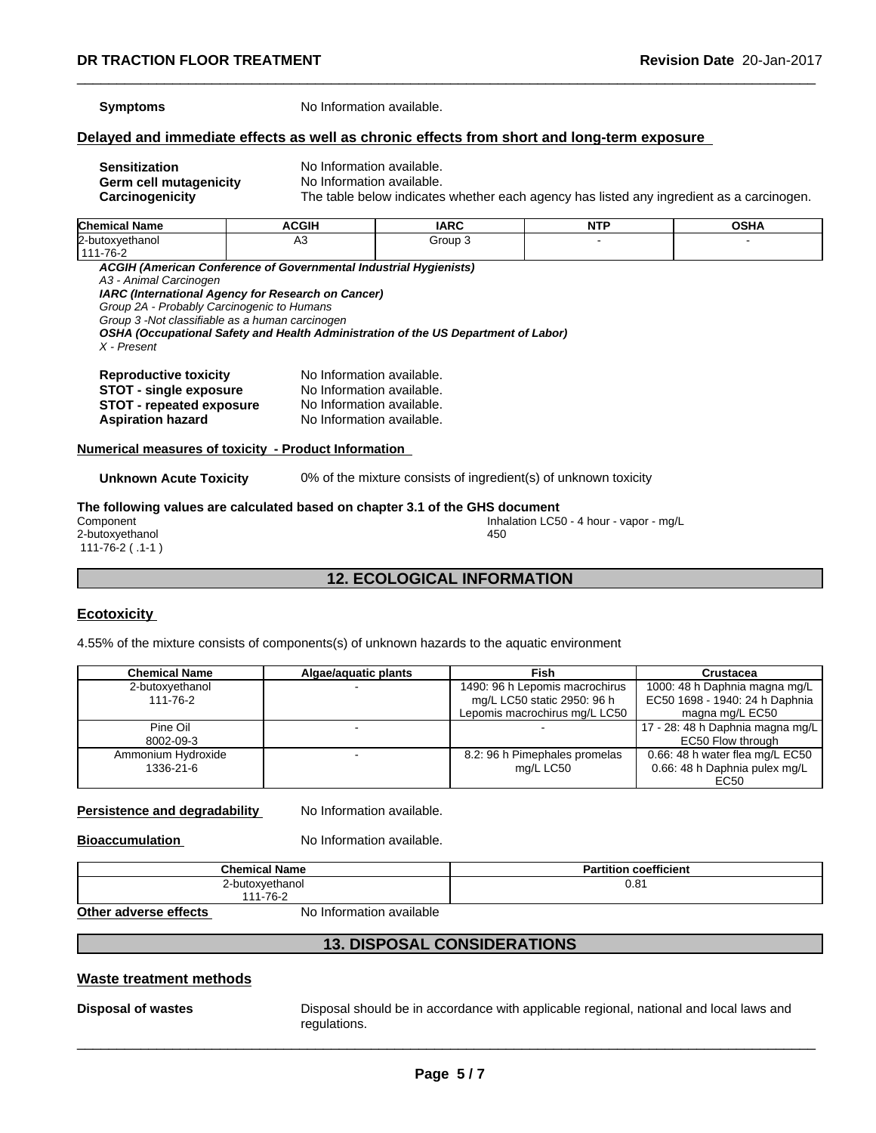**Symptoms** No Information available.

# **Delayed and immediate effects as well as chronic effects from short and long-term exposure**

**Sensitization**<br> **Serm cell mutagenicity** No Information available. **Germ cell mutagenicity<br>Carcinogenicity** 

The table below indicates whether each agency has listed any ingredient as a carcinogen.

| <b>Chemical Name</b>                                              | ACGIH | <b>IARC</b> | <b>NTP</b> | <b>OSHA</b> |  |
|-------------------------------------------------------------------|-------|-------------|------------|-------------|--|
| 2-butoxyethanol                                                   | A3    | Group 3     |            |             |  |
| 1111-76-2                                                         |       |             |            |             |  |
| ACGIH (American Conference of Governmental Industrial Hygienists) |       |             |            |             |  |
| A3 - Animal Carcinogen                                            |       |             |            |             |  |

*IARC (International Agency for Research on Cancer)*

*Group 2A - Probably Carcinogenic to Humans*

*Group 3 -Not classifiable as a human carcinogen*

*OSHA (Occupational Safety and Health Administration of the US Department of Labor) X - Present*

| <b>Reproductive toxicity</b>    | No Information available. |
|---------------------------------|---------------------------|
| <b>STOT - single exposure</b>   | No Information available. |
| <b>STOT</b> - repeated exposure | No Information available. |
| <b>Aspiration hazard</b>        | No Information available. |

#### **Numerical measures of toxicity - Product Information**

**Unknown Acute Toxicity** 0% of the mixture consists of ingredient(s) of unknown toxicity

#### **The following values are calculated based on chapter 3.1 of the GHS document** Inhalation LC50 - 4 hour - vapor - mg/L 2-butoxyethanol 111-76-2 ( .1-1 ) 450

# **12. ECOLOGICAL INFORMATION**

# **Ecotoxicity**

4.55% of the mixture consists of components(s) of unknown hazards to the aquatic environment

| <b>Chemical Name</b>            | Algae/aquatic plants | Fish                                                                                           | <b>Crustacea</b>                                                                   |
|---------------------------------|----------------------|------------------------------------------------------------------------------------------------|------------------------------------------------------------------------------------|
| 2-butoxyethanol<br>111-76-2     |                      | 1490: 96 h Lepomis macrochirus<br>mg/L LC50 static 2950: 96 h<br>Lepomis macrochirus mg/L LC50 | 1000: 48 h Daphnia magna mg/L<br>EC50 1698 - 1940: 24 h Daphnia<br>magna mg/L EC50 |
| Pine Oil<br>8002-09-3           |                      |                                                                                                | 17 - 28: 48 h Daphnia magna mg/L<br>EC50 Flow through                              |
| Ammonium Hydroxide<br>1336-21-6 |                      | 8.2: 96 h Pimephales promelas<br>mg/L LC50                                                     | 0.66: 48 h water flea mg/L EC50<br>0.66: 48 h Daphnia pulex mg/L<br>EC50           |

#### **Persistence and degradability** No Information available.

**Bioaccumulation** No Information available.

| <b>Chemical Name</b> | coefficient<br>rtitior<br>а |
|----------------------|-----------------------------|
| -butoxvethanol       | 0.81                        |
| 1-76-2<br>AA         |                             |

**Other adverse effects** No Information available

# **13. DISPOSAL CONSIDERATIONS**

# **Waste treatment methods**

**Disposal of wastes** Disposal should be in accordance with applicable regional, national and local laws and regulations.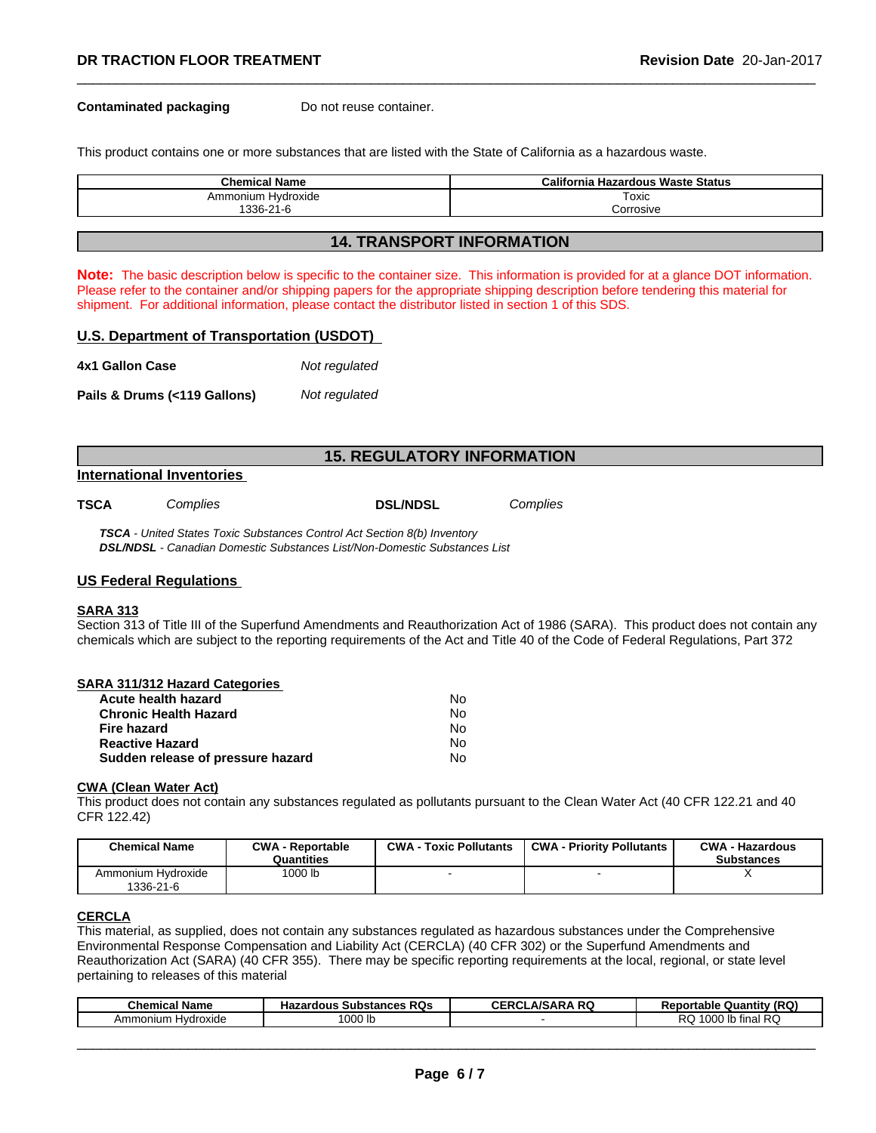#### **Contaminated packaging Do not reuse container.**

This product contains one or more substances that are listed with the State of California as a hazardous waste.

| <b>Chemical Name</b> | California Hazardous Waste Status |
|----------------------|-----------------------------------|
| Ammonium Hydroxide   | Toxic                             |
| 1336-21-6            | corrosive.                        |

# **14. TRANSPORT INFORMATION**

**Note:** The basic description below is specific to the container size. This information is provided for at a glance DOT information. Please refer to the container and/or shipping papers for the appropriate shipping description before tendering this material for shipment. For additional information, please contact the distributor listed in section 1 of this SDS.

#### **U.S. Department of Transportation (USDOT)**

| 4x1 Gallon Case              | Not regulated |
|------------------------------|---------------|
| Pails & Drums (<119 Gallons) | Not regulated |

# **15. REGULATORY INFORMATION**

#### **International Inventories**

| TSCA | <i>Complies</i> | <b>DSL/NDSL</b> | Complies |  |
|------|-----------------|-----------------|----------|--|
|------|-----------------|-----------------|----------|--|

*TSCA - United States Toxic Substances Control Act Section 8(b) Inventory DSL/NDSL - Canadian Domestic Substances List/Non-Domestic Substances List*

#### **US Federal Regulations**

#### **SARA 313**

Section 313 of Title III of the Superfund Amendments and Reauthorization Act of 1986 (SARA). This product does not contain any chemicals which are subject to the reporting requirements of the Act and Title 40 of the Code of Federal Regulations, Part 372

| <b>SARA 311/312 Hazard Categories</b> |    |  |
|---------------------------------------|----|--|
| Acute health hazard                   | No |  |
| <b>Chronic Health Hazard</b>          | No |  |
| <b>Fire hazard</b>                    | No |  |
| <b>Reactive Hazard</b>                | N٥ |  |
| Sudden release of pressure hazard     | No |  |

#### **CWA** (Clean Water Act)

This product does not contain any substances regulated as pollutants pursuant to the Clean Water Act (40 CFR 122.21 and 40 CFR 122.42)

| <b>Chemical Name</b>            | <b>CWA - Reportable</b><br>Quantities | $CWA -$<br><b>Toxic Pollutants</b> | <b>CWA - Priority Pollutants</b> | <b>CWA - Hazardous</b><br><b>Substances</b> |
|---------------------------------|---------------------------------------|------------------------------------|----------------------------------|---------------------------------------------|
| Ammonium Hydroxide<br>1336-21-6 | 1000 lb                               |                                    |                                  |                                             |

# **CERCLA**

This material, as supplied, does not contain any substances regulated as hazardous substances under the Comprehensive Environmental Response Compensation and Liability Act (CERCLA) (40 CFR 302) or the Superfund Amendments and Reauthorization Act (SARA) (40 CFR 355). There may be specific reporting requirements at the local, regional, or state level pertaining to releases of this material

| <b>Chemical Name</b>       | : RQs<br>Substances<br><b>Hazardous</b> | <b>ARQ</b><br>CERCL<br>$\Lambda$ /C<br>^ ש<br>80 J | (RQ)<br>nortable i<br>∴ Quantitv<br>$\sim$ |
|----------------------------|-----------------------------------------|----------------------------------------------------|--------------------------------------------|
| Amm<br>Hvdroxide<br>าonium | '000 lb                                 |                                                    | <b>RC</b><br>1000<br>tinal<br>៶ພ<br>uuu    |